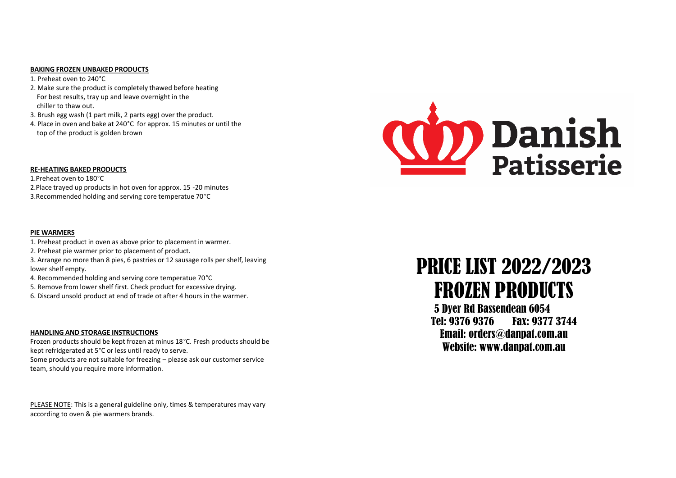#### **BAKING FROZEN UNBAKED PRODUCTS**

1. Preheat oven to 240°C

- 2. Make sure the product is completely thawed before heating For best results, tray up and leave overnight in the chiller to thaw out.
- 3. Brush egg wash (1 part milk, 2 parts egg) over the product.
- 4. Place in oven and bake at 240°C for approx. 15 minutes or until the top of the product is golden brown

#### **RE-HEATING BAKED PRODUCTS**

1.Preheat oven to 180°C 2.Place trayed up products in hot oven for approx. 15 -20 minutes 3.Recommended holding and serving core temperatue 70°C

## **PIE WARMERS**

- 1. Preheat product in oven as above prior to placement in warmer.
- 2. Preheat pie warmer prior to placement of product.
- 3. Arrange no more than 8 pies, 6 pastries or 12 sausage rolls per shelf, leaving lower shelf empty.
- 4. Recommended holding and serving core temperatue 70°C
- 5. Remove from lower shelf first. Check product for excessive drying.
- 6. Discard unsold product at end of trade ot after 4 hours in the warmer.

## **HANDLING AND STORAGE INSTRUCTIONS**

Frozen products should be kept frozen at minus 18°C. Fresh products should be kept refridgerated at 5°C or less until ready to serve. Some products are not suitable for freezing – please ask our customer service team, should you require more information.

PLEASE NOTE: This is a general guideline only, times & temperatures may vary according to oven & pie warmers brands.



# PRICE LIST 2022/2023 FROZEN PRODUCTS

5 Dyer Rd Bassendean 6054 Tel: 9376 9376 Fax: 9377 3744 Email: orders@danpat.com.au Website: www.danpat.com.au